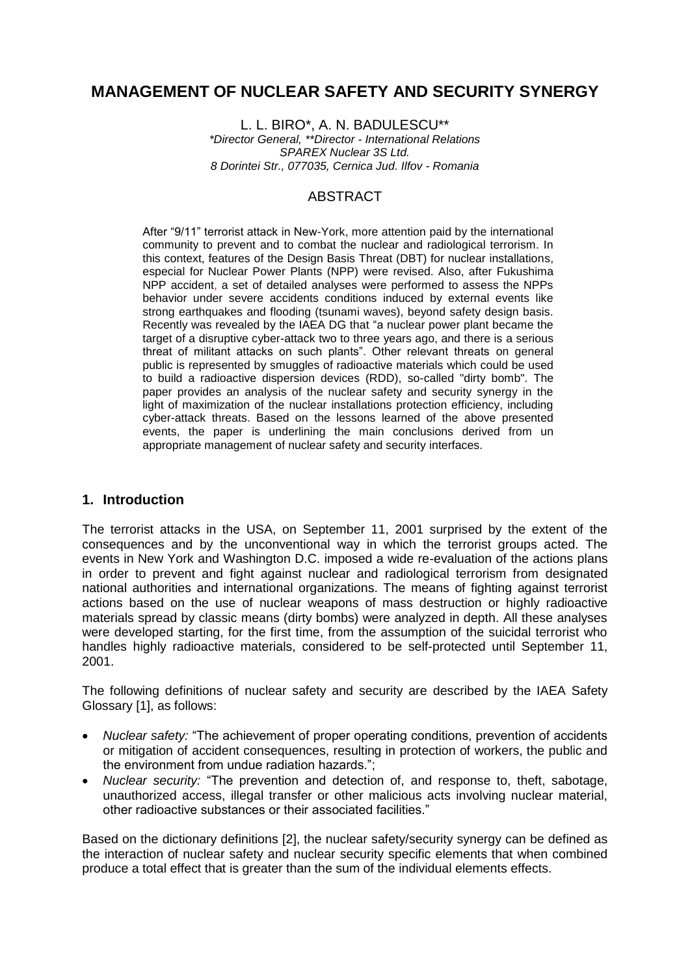# **MANAGEMENT OF NUCLEAR SAFETY AND SECURITY SYNERGY**

L. L. BIRO\*, A. N. BADULESCU\*\* *\*Director General, \*\*Director - International Relations SPAREX Nuclear 3S Ltd. 8 Dorintei Str., 077035, Cernica Jud. Ilfov - Romania*

# ABSTRACT

After "9/11" terrorist attack in New-York, more attention paid by the international community to prevent and to combat the nuclear and radiological terrorism. In this context, features of the Design Basis Threat (DBT) for nuclear installations, especial for Nuclear Power Plants (NPP) were revised. Also, after Fukushima NPP accident, a set of detailed analyses were performed to assess the NPPs behavior under severe accidents conditions induced by external events like strong earthquakes and flooding (tsunami waves), beyond safety design basis. Recently was revealed by the IAEA DG that "a nuclear power plant became the target of a disruptive cyber-attack two to three years ago, and there is a serious threat of militant attacks on such plants". Other relevant threats on general public is represented by smuggles of radioactive materials which could be used to build a radioactive dispersion devices (RDD), so-called "dirty bomb". The paper provides an analysis of the nuclear safety and security synergy in the light of maximization of the nuclear installations protection efficiency, including cyber-attack threats. Based on the lessons learned of the above presented events, the paper is underlining the main conclusions derived from un appropriate management of nuclear safety and security interfaces.

### **1. Introduction**

The terrorist attacks in the USA, on September 11, 2001 surprised by the extent of the consequences and by the unconventional way in which the terrorist groups acted. The events in New York and Washington D.C. imposed a wide re-evaluation of the actions plans in order to prevent and fight against nuclear and radiological terrorism from designated national authorities and international organizations. The means of fighting against terrorist actions based on the use of nuclear weapons of mass destruction or highly radioactive materials spread by classic means (dirty bombs) were analyzed in depth. All these analyses were developed starting, for the first time, from the assumption of the suicidal terrorist who handles highly radioactive materials, considered to be self-protected until September 11, 2001.

The following definitions of nuclear safety and security are described by the IAEA Safety Glossary [1], as follows:

- *Nuclear safety:* "The achievement of proper operating conditions, prevention of accidents or mitigation of accident consequences, resulting in protection of workers, the public and the environment from undue radiation hazards.";
- *Nuclear security:* "The prevention and detection of, and response to, theft, sabotage, unauthorized access, illegal transfer or other malicious acts involving nuclear material, other radioactive substances or their associated facilities."

Based on the dictionary definitions [2], the nuclear safety/security synergy can be defined as the interaction of nuclear safety and nuclear security specific elements that when combined produce a total effect that is greater than the sum of the individual elements effects.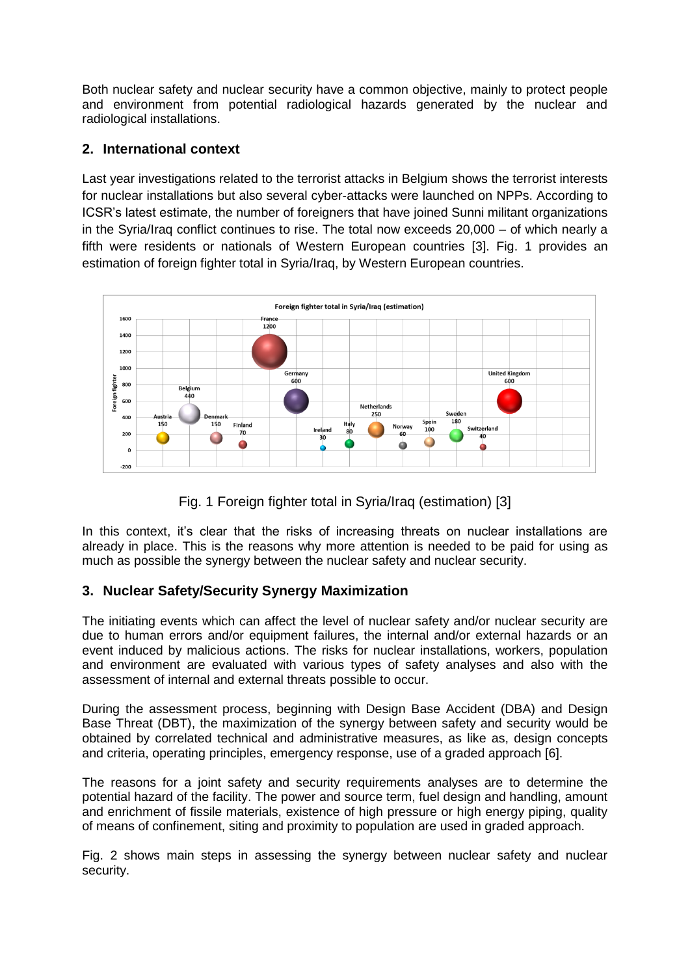Both nuclear safety and nuclear security have a common objective, mainly to protect people and environment from potential radiological hazards generated by the nuclear and radiological installations.

### **2. International context**

Last year investigations related to the terrorist attacks in Belgium shows the terrorist interests for nuclear installations but also several cyber-attacks were launched on NPPs. According to ICSR's latest estimate, the number of foreigners that have joined Sunni militant organizations in the Syria/Iraq conflict continues to rise. The total now exceeds 20,000 – of which nearly a fifth were residents or nationals of Western European countries [3]. Fig. 1 provides an estimation of foreign fighter total in Syria/Iraq, by Western European countries.



Fig. 1 Foreign fighter total in Syria/Iraq (estimation) [3]

In this context, it's clear that the risks of increasing threats on nuclear installations are already in place. This is the reasons why more attention is needed to be paid for using as much as possible the synergy between the nuclear safety and nuclear security.

# **3. Nuclear Safety/Security Synergy Maximization**

The initiating events which can affect the level of nuclear safety and/or nuclear security are due to human errors and/or equipment failures, the internal and/or external hazards or an event induced by malicious actions. The risks for nuclear installations, workers, population and environment are evaluated with various types of safety analyses and also with the assessment of internal and external threats possible to occur.

During the assessment process, beginning with Design Base Accident (DBA) and Design Base Threat (DBT), the maximization of the synergy between safety and security would be obtained by correlated technical and administrative measures, as like as, design concepts and criteria, operating principles, emergency response, use of a graded approach [6].

The reasons for a joint safety and security requirements analyses are to determine the potential hazard of the facility. The power and source term, fuel design and handling, amount and enrichment of fissile materials, existence of high pressure or high energy piping, quality of means of confinement, siting and proximity to population are used in graded approach.

Fig. 2 shows main steps in assessing the synergy between nuclear safety and nuclear security.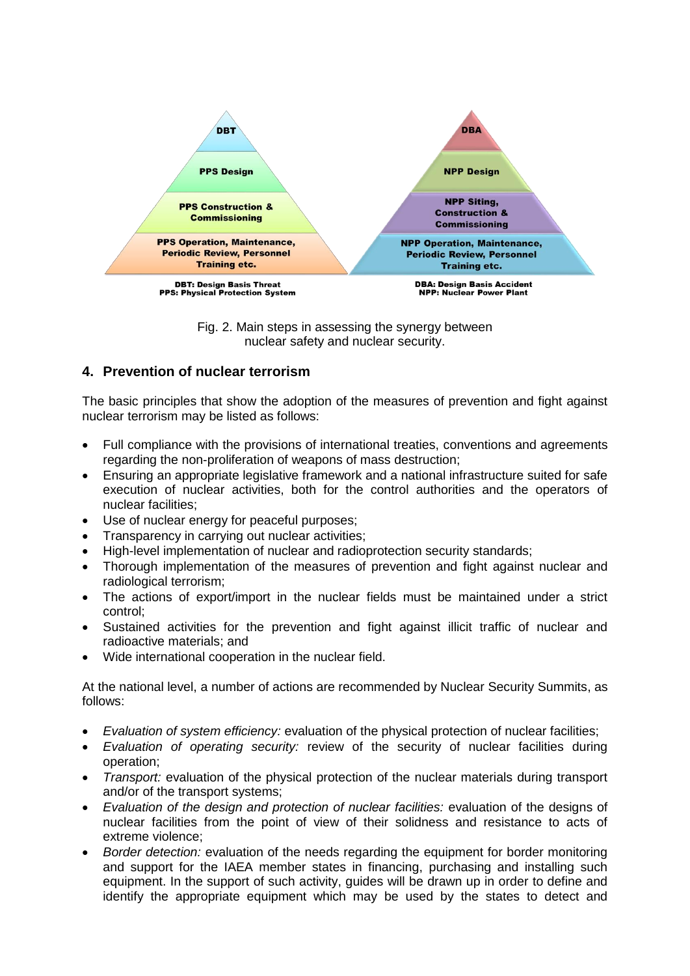

Fig. 2. Main steps in assessing the synergy between nuclear safety and nuclear security.

### **4. Prevention of nuclear terrorism**

The basic principles that show the adoption of the measures of prevention and fight against nuclear terrorism may be listed as follows:

- Full compliance with the provisions of international treaties, conventions and agreements regarding the non-proliferation of weapons of mass destruction;
- Ensuring an appropriate legislative framework and a national infrastructure suited for safe execution of nuclear activities, both for the control authorities and the operators of nuclear facilities;
- Use of nuclear energy for peaceful purposes;
- Transparency in carrying out nuclear activities;
- High-level implementation of nuclear and radioprotection security standards;
- Thorough implementation of the measures of prevention and fight against nuclear and radiological terrorism;
- The actions of export/import in the nuclear fields must be maintained under a strict control;
- Sustained activities for the prevention and fight against illicit traffic of nuclear and radioactive materials; and
- Wide international cooperation in the nuclear field.

At the national level, a number of actions are recommended by Nuclear Security Summits, as follows:

- *Evaluation of system efficiency:* evaluation of the physical protection of nuclear facilities;
- *Evaluation of operating security:* review of the security of nuclear facilities during operation;
- *Transport:* evaluation of the physical protection of the nuclear materials during transport and/or of the transport systems;
- *Evaluation of the design and protection of nuclear facilities:* evaluation of the designs of nuclear facilities from the point of view of their solidness and resistance to acts of extreme violence;
- *Border detection:* evaluation of the needs regarding the equipment for border monitoring and support for the IAEA member states in financing, purchasing and installing such equipment. In the support of such activity, guides will be drawn up in order to define and identify the appropriate equipment which may be used by the states to detect and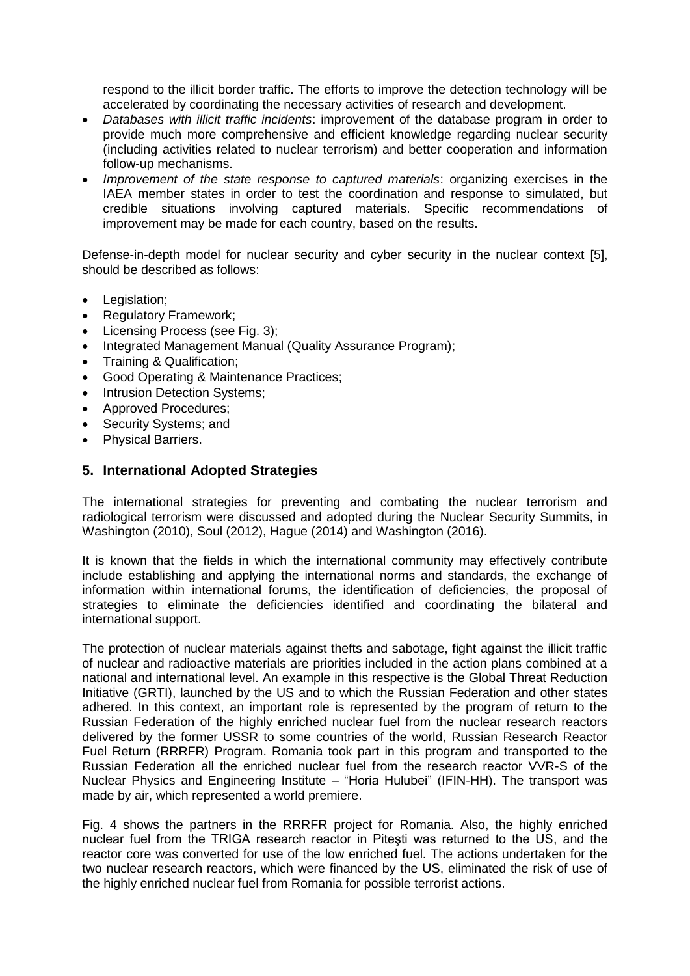respond to the illicit border traffic. The efforts to improve the detection technology will be accelerated by coordinating the necessary activities of research and development.

- *Databases with illicit traffic incidents*: improvement of the database program in order to provide much more comprehensive and efficient knowledge regarding nuclear security (including activities related to nuclear terrorism) and better cooperation and information follow-up mechanisms.
- *Improvement of the state response to captured materials: organizing exercises in the* IAEA member states in order to test the coordination and response to simulated, but credible situations involving captured materials. Specific recommendations of improvement may be made for each country, based on the results.

Defense-in-depth model for nuclear security and cyber security in the nuclear context [5], should be described as follows:

- Legislation:
- Regulatory Framework;
- Licensing Process (see Fig. 3);
- Integrated Management Manual (Quality Assurance Program);
- Training & Qualification:
- Good Operating & Maintenance Practices;
- Intrusion Detection Systems;
- Approved Procedures;
- Security Systems; and
- Physical Barriers.

#### **5. International Adopted Strategies**

The international strategies for preventing and combating the nuclear terrorism and radiological terrorism were discussed and adopted during the Nuclear Security Summits, in Washington (2010), Soul (2012), Hague (2014) and Washington (2016).

It is known that the fields in which the international community may effectively contribute include establishing and applying the international norms and standards, the exchange of information within international forums, the identification of deficiencies, the proposal of strategies to eliminate the deficiencies identified and coordinating the bilateral and international support.

The protection of nuclear materials against thefts and sabotage, fight against the illicit traffic of nuclear and radioactive materials are priorities included in the action plans combined at a national and international level. An example in this respective is the Global Threat Reduction Initiative (GRTI), launched by the US and to which the Russian Federation and other states adhered. In this context, an important role is represented by the program of return to the Russian Federation of the highly enriched nuclear fuel from the nuclear research reactors delivered by the former USSR to some countries of the world, Russian Research Reactor Fuel Return (RRRFR) Program. Romania took part in this program and transported to the Russian Federation all the enriched nuclear fuel from the research reactor VVR-S of the Nuclear Physics and Engineering Institute – "Horia Hulubei" (IFIN-HH). The transport was made by air, which represented a world premiere.

Fig. 4 shows the partners in the RRRFR project for Romania. Also, the highly enriched nuclear fuel from the TRIGA research reactor in Piteşti was returned to the US, and the reactor core was converted for use of the low enriched fuel. The actions undertaken for the two nuclear research reactors, which were financed by the US, eliminated the risk of use of the highly enriched nuclear fuel from Romania for possible terrorist actions.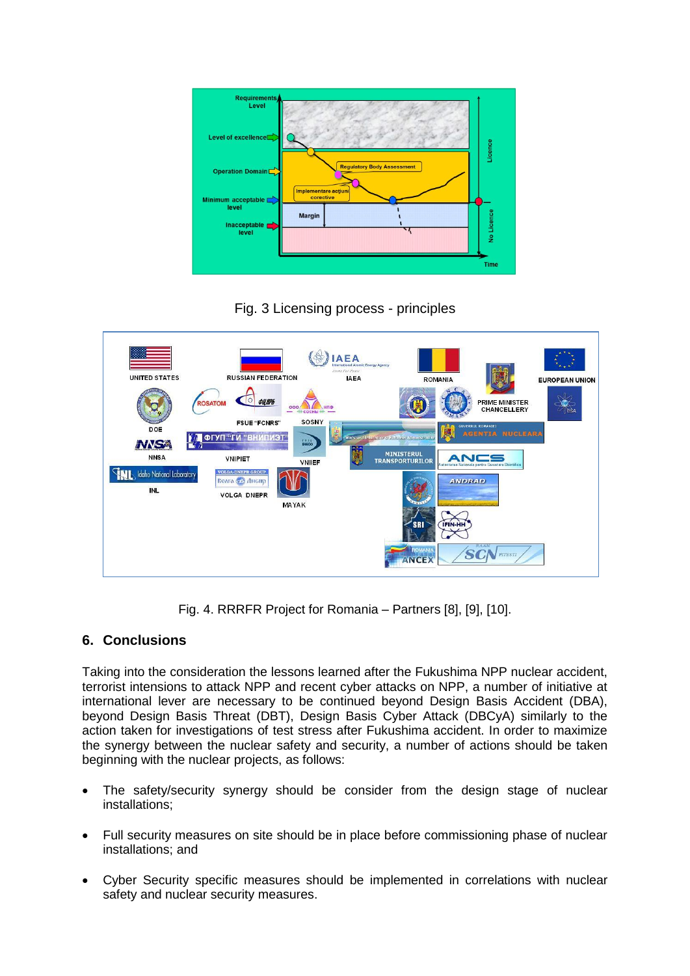

Fig. 3 Licensing process - principles



Fig. 4. RRRFR Project for Romania – Partners [8], [9], [10].

# **6. Conclusions**

Taking into the consideration the lessons learned after the Fukushima NPP nuclear accident, terrorist intensions to attack NPP and recent cyber attacks on NPP, a number of initiative at international lever are necessary to be continued beyond Design Basis Accident (DBA), beyond Design Basis Threat (DBT), Design Basis Cyber Attack (DBCyA) similarly to the action taken for investigations of test stress after Fukushima accident. In order to maximize the synergy between the nuclear safety and security, a number of actions should be taken beginning with the nuclear projects, as follows:

- The safety/security synergy should be consider from the design stage of nuclear installations;
- Full security measures on site should be in place before commissioning phase of nuclear installations; and
- Cyber Security specific measures should be implemented in correlations with nuclear safety and nuclear security measures.